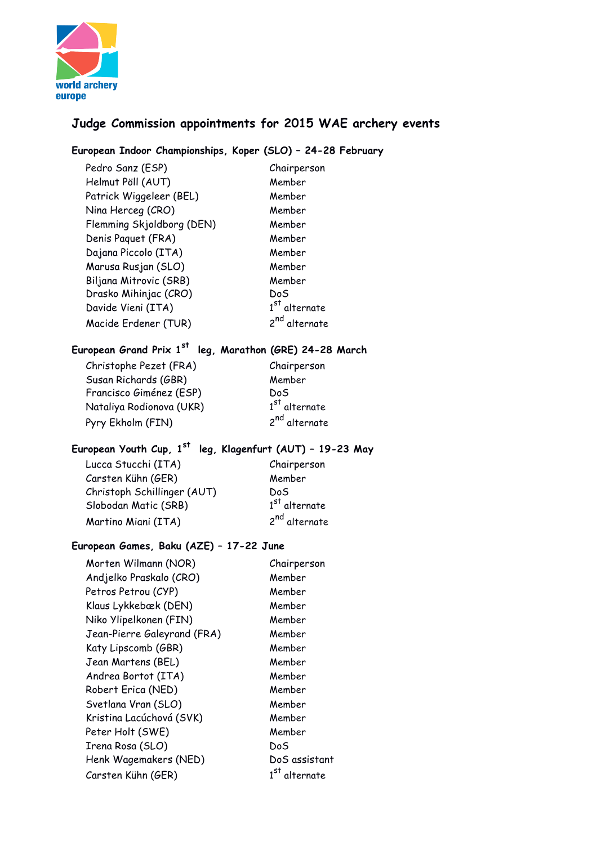

# **Judge Commission appointments for 2015 WAE archery events**

## **European Indoor Championships, Koper (SLO) – 24-28 February**

Pedro Sanz (ESP) Chairperson Helmut Pöll (AUT) Member Patrick Wiggeleer (BEL) Member Nina Herceg (CRO) Member Flemming Skjoldborg (DEN) Member Denis Paquet (FRA) Member Dajana Piccolo (ITA) Member Marusa Rusjan (SLO) Member Biljana Mitrovic (SRB) Member Drasko Mihinjac (CRO) DoS Davide Vieni (ITA) 1<sup>st</sup> alternate<br>Macide Erdener (TUR) 2<sup>nd</sup> alternate  $1<sup>st</sup>$  alternate Macide Erdener (TUR) **European Grand Prix 1st leg, Marathon (GRE) 24-28 March** Christophe Pezet (FRA) Chairperson Susan Richards (GBR) Member Francisco Giménez (ESP) DoS Nataliya Rodionova (UKR) 1  $1<sup>st</sup>$  alternate Pyry Ekholm (FIN) 2<sup>nd</sup> alternate **European Youth Cup, 1st leg, Klagenfurt (AUT) – 19-23 May** Lucca Stucchi (ITA) Chairperson Carsten Kühn (GER) Member Christoph Schillinger (AUT) DoS Slobodan Matic (SRB) 1  $1^\mathrm{st}$  alternate Martino Miani (ITA) 2<sup>nd</sup> alternate **European Games, Baku (AZE) – 17-22 June** Morten Wilmann (NOR) Chairperson Andjelko Praskalo (CRO) Member Petros Petrou (CYP) Member Klaus Lykkebæk (DEN) Member Niko Ylipelkonen (FIN) Member Jean-Pierre Galeyrand (FRA) Member Katy Lipscomb (GBR) Member Jean Martens (BEL) Member Andrea Bortot (ITA) Member Robert Erica (NED) Member Svetlana Vran (SLO) Member Kristina Lacúchová (SVK) Member Peter Holt (SWE) Member Irena Rosa (SLO) DoS

Henk Wagemakers (NED) DoS assistant

 $1<sup>st</sup>$  alternate

Carsten Kühn (GER) 1